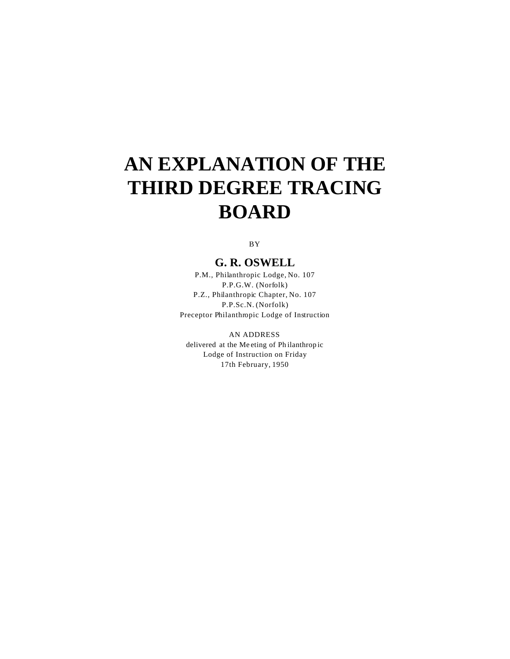## **AN EXPLANATION OF THE THIRD DEGREE TRACING BOARD**

BY

## **G. R. OSWELL**

P.M., Philanthropic Lodge, No. 107 P.P.G.W. (Norfolk) P.Z., Philanthropic Chapter, No. 107 P.P.Sc.N. (Norfolk) Preceptor Philanthropic Lodge of Instruction

AN ADDRESS delivered at the Me eting of Ph ilanthrop ic Lodge of Instruction on Friday 17th February, 1950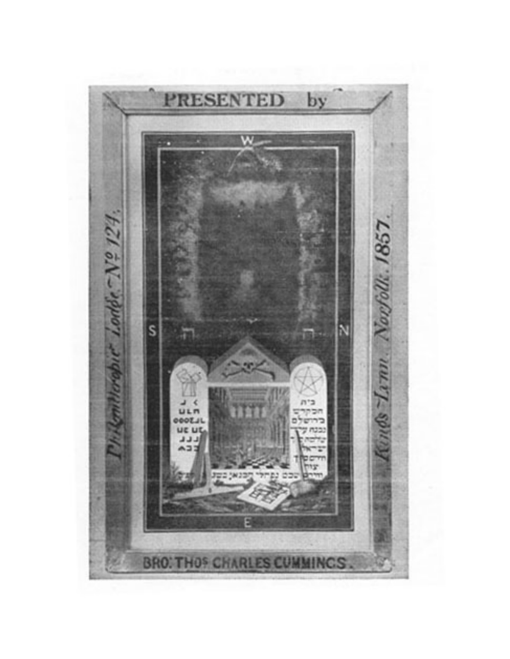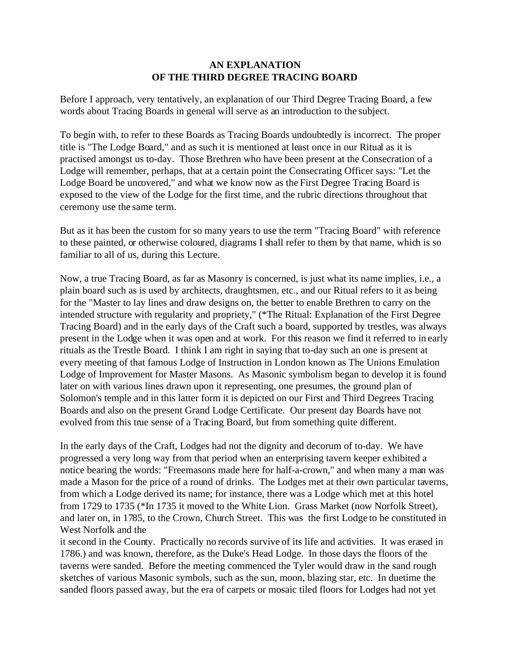## **AN EXPLANATION OF THE THIRD DEGREE TRACING BOARD**

Before I approach, very tentatively, an explanation of our Third Degree Tracing Board, a few words about Tracing Boards in general will serve as an introduction to the subject.

To begin with, to refer to these Boards as Tracing Boards undoubtedly is incorrect. The proper title is "The Lodge Board," and as such it is mentioned at least once in our Ritual as it is practised amongst us to-day. Those Brethren who have been present at the Consecration of a Lodge will remember, perhaps, that at a certain point the Consecrating Officer says: "Let the Lodge Board be uncovered," and what we know now as the First Degree Tracing Board is exposed to the view of the Lodge for the first time, and the rubric directions throughout that ceremony use the same term.

But as it has been the custom for so many years to use the term "Tracing Board" with reference to these painted, or otherwise coloured, diagrams I shall refer to them by that name, which is so familiar to all of us, during this Lecture.

Now, a true Tracing Board, as far as Masonry is concerned, is just what its name implies, i.e., a plain board such as is used by architects, draughtsmen, etc., and our Ritual refers to it as being for the "Master to lay lines and draw designs on, the better to enable Brethren to carry on the intended structure with regularity and propriety," (\*The Ritual: Explanation of the First Degree Tracing Board) and in the early days of the Craft such a board, supported by trestles, was always present in the Lodge when it was open and at work. For this reason we find it referred to in early rituals as the Trestle Board. I think I am right in saying that to-day such an one is present at every meeting of that famous Lodge of Instruction in London known as The Unions Emulation Lodge of Improvement for Master Masons. As Masonic symbolism began to develop it is found later on with various lines drawn upon it representing, one presumes, the ground plan of Solomon's temple and in this latter form it is depicted on our First and Third Degrees Tracing Boards and also on the present Grand Lodge Certificate. Our present day Boards have not evolved from this true sense of a Tracing Board, but from something quite different.

In the early days of the Craft, Lodges had not the dignity and decorum of to-day. We have progressed a very long way from that period when an enterprising tavern keeper exhibited a notice bearing the words: "Freemasons made here for half-a-crown," and when many a man was made a Mason for the price of a round of drinks. The Lodges met at their own particular taverns, from which a Lodge derived its name; for instance, there was a Lodge which met at this hotel from 1729 to 1735 (\*In 1735 it moved to the White Lion. Grass Market (now Norfolk Street), and later on, in 1785, to the Crown, Church Street. This was the first Lodge to be constituted in West Norfolk and the

it second in the County. Practically no records survive of its life and activities. It was erased in 1786.) and was known, therefore, as the Duke's Head Lodge. In those days the floors of the taverns were sanded. Before the meeting commenced the Tyler would draw in the sand rough sketches of various Masonic symbols, such as the sun, moon, blazing star, etc. In duetime the sanded floors passed away, but the era of carpets or mosaic tiled floors for Lodges had not yet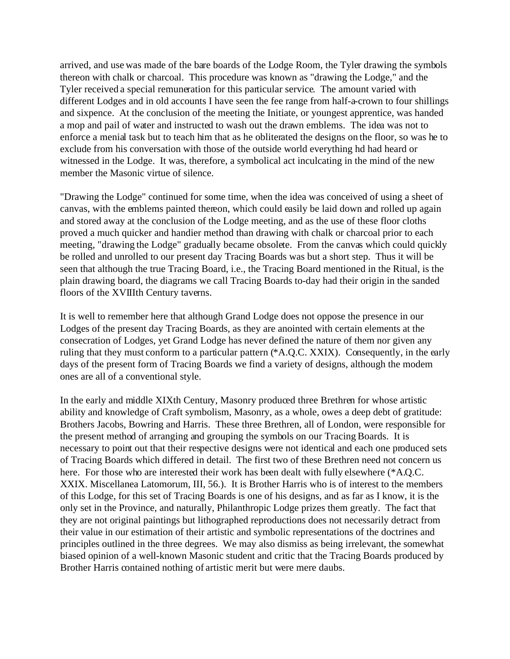arrived, and use was made of the bare boards of the Lodge Room, the Tyler drawing the symbols thereon with chalk or charcoal. This procedure was known as "drawing the Lodge," and the Tyler received a special remuneration for this particular service. The amount varied with different Lodges and in old accounts I have seen the fee range from half-a-crown to four shillings and sixpence. At the conclusion of the meeting the Initiate, or youngest apprentice, was handed a mop and pail of water and instructed to wash out the drawn emblems. The idea was not to enforce a menial task but to teach him that as he obliterated the designs on the floor, so was he to exclude from his conversation with those of the outside world everything hd had heard or witnessed in the Lodge. It was, therefore, a symbolical act inculcating in the mind of the new member the Masonic virtue of silence.

"Drawing the Lodge" continued for some time, when the idea was conceived of using a sheet of canvas, with the emblems painted thereon, which could easily be laid down and rolled up again and stored away at the conclusion of the Lodge meeting, and as the use of these floor cloths proved a much quicker and handier method than drawing with chalk or charcoal prior to each meeting, "drawing the Lodge" gradually became obsolete. From the canvas which could quickly be rolled and unrolled to our present day Tracing Boards was but a short step. Thus it will be seen that although the true Tracing Board, i.e., the Tracing Board mentioned in the Ritual, is the plain drawing board, the diagrams we call Tracing Boards to-day had their origin in the sanded floors of the XVIIIth Century taverns.

It is well to remember here that although Grand Lodge does not oppose the presence in our Lodges of the present day Tracing Boards, as they are anointed with certain elements at the consecration of Lodges, yet Grand Lodge has never defined the nature of them nor given any ruling that they must conform to a particular pattern (\*A.Q.C. XXIX). Consequently, in the early days of the present form of Tracing Boards we find a variety of designs, although the modem ones are all of a conventional style.

In the early and middle XIXth Century, Masonry produced three Brethren for whose artistic ability and knowledge of Craft symbolism, Masonry, as a whole, owes a deep debt of gratitude: Brothers Jacobs, Bowring and Harris. These three Brethren, all of London, were responsible for the present method of arranging and grouping the symbols on our Tracing Boards. It is necessary to point out that their respective designs were not identical and each one produced sets of Tracing Boards which differed in detail. The first two of these Brethren need not concern us here. For those who are interested their work has been dealt with fully elsewhere (\*A.Q.C. XXIX. Miscellanea Latomorum, III, 56.). It is Brother Harris who is of interest to the members of this Lodge, for this set of Tracing Boards is one of his designs, and as far as I know, it is the only set in the Province, and naturally, Philanthropic Lodge prizes them greatly. The fact that they are not original paintings but lithographed reproductions does not necessarily detract from their value in our estimation of their artistic and symbolic representations of the doctrines and principles outlined in the three degrees. We may also dismiss as being irrelevant, the somewhat biased opinion of a well-known Masonic student and critic that the Tracing Boards produced by Brother Harris contained nothing of artistic merit but were mere daubs.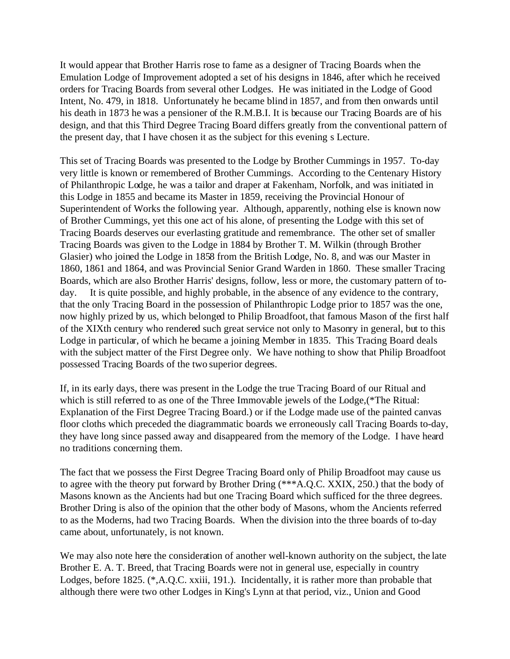It would appear that Brother Harris rose to fame as a designer of Tracing Boards when the Emulation Lodge of Improvement adopted a set of his designs in 1846, after which he received orders for Tracing Boards from several other Lodges. He was initiated in the Lodge of Good Intent, No. 479, in 1818. Unfortunately he became blind in 1857, and from then onwards until his death in 1873 he was a pensioner of the R.M.B.I. It is because our Tracing Boards are of his design, and that this Third Degree Tracing Board differs greatly from the conventional pattern of the present day, that I have chosen it as the subject for this evening s Lecture.

This set of Tracing Boards was presented to the Lodge by Brother Cummings in 1957. To-day very little is known or remembered of Brother Cummings. According to the Centenary History of Philanthropic Lodge, he was a tailor and draper at Fakenham, Norfolk, and was initiated in this Lodge in 1855 and became its Master in 1859, receiving the Provincial Honour of Superintendent of Works the following year. Although, apparently, nothing else is known now of Brother Cummings, yet this one act of his alone, of presenting the Lodge with this set of Tracing Boards deserves our everlasting gratitude and remembrance. The other set of smaller Tracing Boards was given to the Lodge in 1884 by Brother T. M. Wilkin (through Brother Glasier) who joined the Lodge in 1858 from the British Lodge, No. 8, and was our Master in 1860, 1861 and 1864, and was Provincial Senior Grand Warden in 1860. These smaller Tracing Boards, which are also Brother Harris' designs, follow, less or more, the customary pattern of today. It is quite possible, and highly probable, in the absence of any evidence to the contrary, that the only Tracing Board in the possession of Philanthropic Lodge prior to 1857 was the one, now highly prized by us, which belonged to Philip Broadfoot, that famous Mason of the first half of the XIXth century who rendered such great service not only to Masonry in general, but to this Lodge in particular, of which he became a joining Member in 1835. This Tracing Board deals with the subject matter of the First Degree only. We have nothing to show that Philip Broadfoot possessed Tracing Boards of the two superior degrees.

If, in its early days, there was present in the Lodge the true Tracing Board of our Ritual and which is still referred to as one of the Three Immovable jewels of the Lodge,(\*The Ritual: Explanation of the First Degree Tracing Board.) or if the Lodge made use of the painted canvas floor cloths which preceded the diagrammatic boards we erroneously call Tracing Boards to-day, they have long since passed away and disappeared from the memory of the Lodge. I have heard no traditions concerning them.

The fact that we possess the First Degree Tracing Board only of Philip Broadfoot may cause us to agree with the theory put forward by Brother Dring (\*\*\*A.Q.C. XXIX, 250.) that the body of Masons known as the Ancients had but one Tracing Board which sufficed for the three degrees. Brother Dring is also of the opinion that the other body of Masons, whom the Ancients referred to as the Moderns, had two Tracing Boards. When the division into the three boards of to-day came about, unfortunately, is not known.

We may also note here the consideration of another well-known authority on the subject, the late Brother E. A. T. Breed, that Tracing Boards were not in general use, especially in country Lodges, before 1825. (\*,A.Q.C. xxiii, 191.). Incidentally, it is rather more than probable that although there were two other Lodges in King's Lynn at that period, viz., Union and Good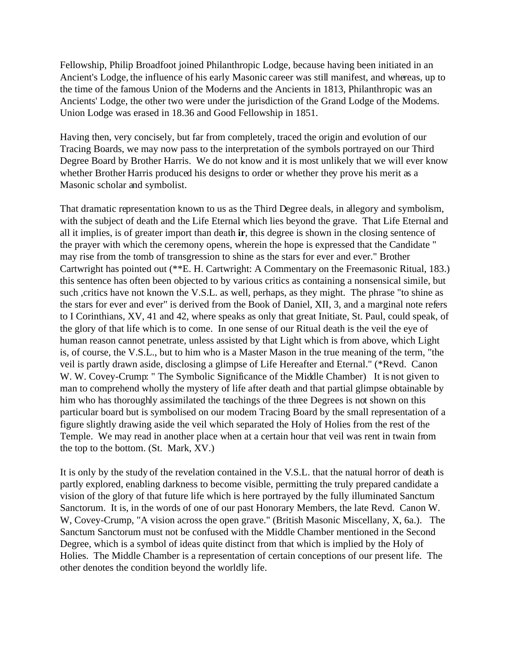Fellowship, Philip Broadfoot joined Philanthropic Lodge, because having been initiated in an Ancient's Lodge, the influence of his early Masonic career was still manifest, and whereas, up to the time of the famous Union of the Moderns and the Ancients in 1813, Philanthropic was an Ancients' Lodge, the other two were under the jurisdiction of the Grand Lodge of the Modems. Union Lodge was erased in 18.36 and Good Fellowship in 1851.

Having then, very concisely, but far from completely, traced the origin and evolution of our Tracing Boards, we may now pass to the interpretation of the symbols portrayed on our Third Degree Board by Brother Harris. We do not know and it is most unlikely that we will ever know whether Brother Harris produced his designs to order or whether they prove his merit as a Masonic scholar and symbolist.

That dramatic representation known to us as the Third Degree deals, in allegory and symbolism, with the subject of death and the Life Eternal which lies beyond the grave. That Life Eternal and all it implies, is of greater import than death **ir**, this degree is shown in the closing sentence of the prayer with which the ceremony opens, wherein the hope is expressed that the Candidate " may rise from the tomb of transgression to shine as the stars for ever and ever." Brother Cartwright has pointed out (\*\*E. H. Cartwright: A Commentary on the Freemasonic Ritual, 183.) this sentence has often been objected to by various critics as containing a nonsensical simile, but such ,critics have not known the V.S.L. as well, perhaps, as they might. The phrase "to shine as the stars for ever and ever" is derived from the Book of Daniel, XII, 3, and a marginal note refers to I Corinthians, XV, 41 and 42, where speaks as only that great Initiate, St. Paul, could speak, of the glory of that life which is to come. In one sense of our Ritual death is the veil the eye of human reason cannot penetrate, unless assisted by that Light which is from above, which Light is, of course, the V.S.L., but to him who is a Master Mason in the true meaning of the term, "the veil is partly drawn aside, disclosing a glimpse of Life Hereafter and Eternal." (\*Revd. Canon W. W. Covey-Crump: " The Symbolic Significance of the Middle Chamber) It is not given to man to comprehend wholly the mystery of life after death and that partial glimpse obtainable by him who has thoroughly assimilated the teachings of the three Degrees is not shown on this particular board but is symbolised on our modem Tracing Board by the small representation of a figure slightly drawing aside the veil which separated the Holy of Holies from the rest of the Temple. We may read in another place when at a certain hour that veil was rent in twain from the top to the bottom. (St. Mark, XV.)

It is only by the study of the revelation contained in the V.S.L. that the natural horror of death is partly explored, enabling darkness to become visible, permitting the truly prepared candidate a vision of the glory of that future life which is here portrayed by the fully illuminated Sanctum Sanctorum. It is, in the words of one of our past Honorary Members, the late Revd. Canon W. W, Covey-Crump, "A vision across the open grave." (British Masonic Miscellany, X, 6a.). The Sanctum Sanctorum must not be confused with the Middle Chamber mentioned in the Second Degree, which is a symbol of ideas quite distinct from that which is implied by the Holy of Holies. The Middle Chamber is a representation of certain conceptions of our present life. The other denotes the condition beyond the worldly life.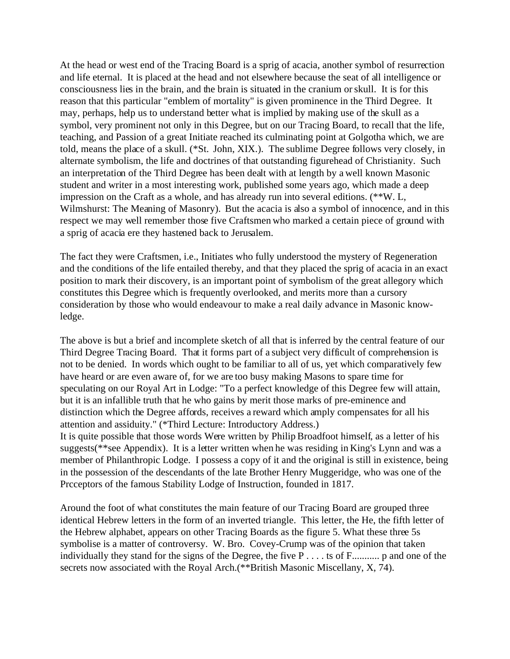At the head or west end of the Tracing Board is a sprig of acacia, another symbol of resurrection and life eternal. It is placed at the head and not elsewhere because the seat of all intelligence or consciousness lies in the brain, and the brain is situated in the cranium or skull. It is for this reason that this particular "emblem of mortality" is given prominence in the Third Degree. It may, perhaps, help us to understand better what is implied by making use of the skull as a symbol, very prominent not only in this Degree, but on our Tracing Board, to recall that the life, teaching, and Passion of a great Initiate reached its culminating point at Golgotha which, we are told, means the place of a skull. (\*St. John, XIX.). The sublime Degree follows very closely, in alternate symbolism, the life and doctrines of that outstanding figurehead of Christianity. Such an interpretation of the Third Degree has been dealt with at length by a well known Masonic student and writer in a most interesting work, published some years ago, which made a deep impression on the Craft as a whole, and has already run into several editions. (\*\*W. L, Wilmshurst: The Meaning of Masonry). But the acacia is also a symbol of innocence, and in this respect we may well remember those five Craftsmen who marked a certain piece of ground with a sprig of acacia ere they hastened back to Jerusalem.

The fact they were Craftsmen, i.e., Initiates who fully understood the mystery of Regeneration and the conditions of the life entailed thereby, and that they placed the sprig of acacia in an exact position to mark their discovery, is an important point of symbolism of the great allegory which constitutes this Degree which is frequently overlooked, and merits more than a cursory consideration by those who would endeavour to make a real daily advance in Masonic knowledge.

The above is but a brief and incomplete sketch of all that is inferred by the central feature of our Third Degree Tracing Board. That it forms part of a subject very difficult of comprehension is not to be denied. In words which ought to be familiar to all of us, yet which comparatively few have heard or are even aware of, for we are too busy making Masons to spare time for speculating on our Royal Art in Lodge: "To a perfect knowledge of this Degree few will attain, but it is an infallible truth that he who gains by merit those marks of pre-eminence and distinction which the Degree affords, receives a reward which amply compensates for all his attention and assiduity." (\*Third Lecture: Introductory Address.) It is quite possible that those words Were written by Philip Broadfoot himself, as a letter of his suggests(\*\*see Appendix). It is a letter written when he was residing in King's Lynn and was a member of Philanthropic Lodge. I possess a copy of it and the original is still in existence, being in the possession of the descendants of the late Brother Henry Muggeridge, who was one of the

Around the foot of what constitutes the main feature of our Tracing Board are grouped three identical Hebrew letters in the form of an inverted triangle. This letter, the He, the fifth letter of the Hebrew alphabet, appears on other Tracing Boards as the figure 5. What these three 5s symbolise is a matter of controversy. W. Bro. Covey-Crump was of the opinion that taken individually they stand for the signs of the Degree, the five P . . . . ts of F........... p and one of the secrets now associated with the Royal Arch.(\*\*British Masonic Miscellany, X, 74).

Prcceptors of the famous Stability Lodge of Instruction, founded in 1817.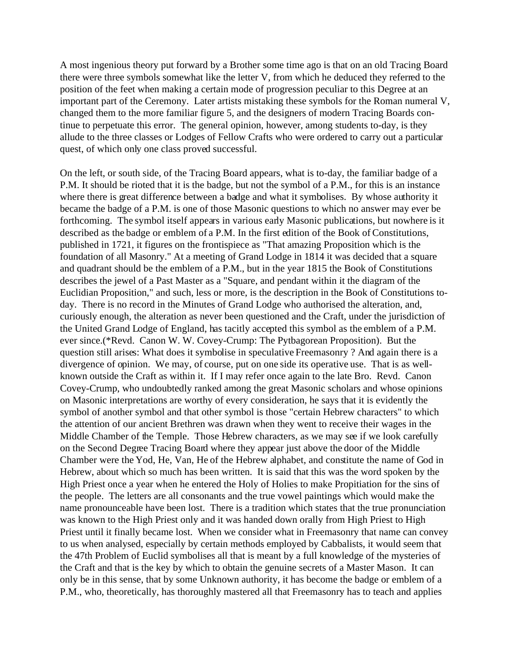A most ingenious theory put forward by a Brother some time ago is that on an old Tracing Board there were three symbols somewhat like the letter V, from which he deduced they referred to the position of the feet when making a certain mode of progression peculiar to this Degree at an important part of the Ceremony. Later artists mistaking these symbols for the Roman numeral V, changed them to the more familiar figure 5, and the designers of modern Tracing Boards continue to perpetuate this error. The general opinion, however, among students to-day, is they allude to the three classes or Lodges of Fellow Crafts who were ordered to carry out a particular quest, of which only one class proved successful.

On the left, or south side, of the Tracing Board appears, what is to-day, the familiar badge of a P.M. It should be rioted that it is the badge, but not the symbol of a P.M., for this is an instance where there is great difference between a badge and what it symbolises. By whose authority it became the badge of a P.M. is one of those Masonic questions to which no answer may ever be forthcoming. The symbol itself appears in various early Masonic publications, but nowhere is it described as the badge or emblem of a P.M. In the first edition of the Book of Constitutions, published in 1721, it figures on the frontispiece as "That amazing Proposition which is the foundation of all Masonry." At a meeting of Grand Lodge in 1814 it was decided that a square and quadrant should be the emblem of a P.M., but in the year 1815 the Book of Constitutions describes the jewel of a Past Master as a "Square, and pendant within it the diagram of the Euclidian Proposition," and such, less or more, is the description in the Book of Constitutions today. There is no record in the Minutes of Grand Lodge who authorised the alteration, and, curiously enough, the alteration as never been questioned and the Craft, under the jurisdiction of the United Grand Lodge of England, has tacitly accepted this symbol as the emblem of a P.M. ever since.(\*Revd. Canon W. W. Covey-Crump: The Pytbagorean Proposition). But the question still arises: What does it symbolise in speculative Freemasonry ? And again there is a divergence of opinion. We may, of course, put on one side its operative use. That is as wellknown outside the Craft as within it. If I may refer once again to the late Bro. Revd. Canon Covey-Crump, who undoubtedly ranked among the great Masonic scholars and whose opinions on Masonic interpretations are worthy of every consideration, he says that it is evidently the symbol of another symbol and that other symbol is those "certain Hebrew characters" to which the attention of our ancient Brethren was drawn when they went to receive their wages in the Middle Chamber of the Temple. Those Hebrew characters, as we may see if we look carefully on the Second Degree Tracing Board where they appear just above the door of the Middle Chamber were the Yod, He, Van, He of the Hebrew alphabet, and constitute the name of God in Hebrew, about which so much has been written. It is said that this was the word spoken by the High Priest once a year when he entered the Holy of Holies to make Propitiation for the sins of the people. The letters are all consonants and the true vowel paintings which would make the name pronounceable have been lost. There is a tradition which states that the true pronunciation was known to the High Priest only and it was handed down orally from High Priest to High Priest until it finally became lost. When we consider what in Freemasonry that name can convey to us when analysed, especially by certain methods employed by Cabbalists, it would seem that the 47th Problem of Euclid symbolises all that is meant by a full knowledge of the mysteries of the Craft and that is the key by which to obtain the genuine secrets of a Master Mason. It can only be in this sense, that by some Unknown authority, it has become the badge or emblem of a P.M., who, theoretically, has thoroughly mastered all that Freemasonry has to teach and applies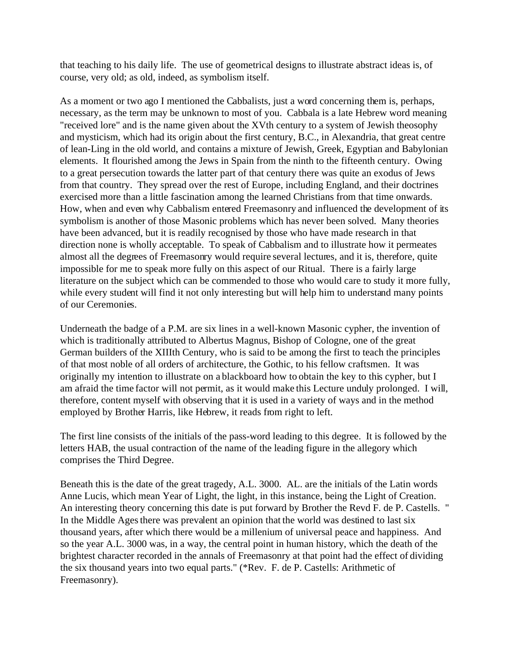that teaching to his daily life. The use of geometrical designs to illustrate abstract ideas is, of course, very old; as old, indeed, as symbolism itself.

As a moment or two ago I mentioned the Cabbalists, just a word concerning them is, perhaps, necessary, as the term may be unknown to most of you. Cabbala is a late Hebrew word meaning "received lore" and is the name given about the XVth century to a system of Jewish theosophy and mysticism, which had its origin about the first century, B.C., in Alexandria, that great centre of lean-Ling in the old world, and contains a mixture of Jewish, Greek, Egyptian and Babylonian elements. It flourished among the Jews in Spain from the ninth to the fifteenth century. Owing to a great persecution towards the latter part of that century there was quite an exodus of Jews from that country. They spread over the rest of Europe, including England, and their doctrines exercised more than a little fascination among the learned Christians from that time onwards. How, when and even why Cabbalism entered Freemasonry and influenced the development of its symbolism is another of those Masonic problems which has never been solved. Many theories have been advanced, but it is readily recognised by those who have made research in that direction none is wholly acceptable. To speak of Cabbalism and to illustrate how it permeates almost all the degrees of Freemasonry would require several lectures, and it is, therefore, quite impossible for me to speak more fully on this aspect of our Ritual. There is a fairly large literature on the subject which can be commended to those who would care to study it more fully, while every student will find it not only interesting but will help him to understand many points of our Ceremonies.

Underneath the badge of a P.M. are six lines in a well-known Masonic cypher, the invention of which is traditionally attributed to Albertus Magnus, Bishop of Cologne, one of the great German builders of the XIIIth Century, who is said to be among the first to teach the principles of that most noble of all orders of architecture, the Gothic, to his fellow craftsmen. It was originally my intention to illustrate on a blackboard how to obtain the key to this cypher, but I am afraid the time factor will not permit, as it would make this Lecture unduly prolonged. I will, therefore, content myself with observing that it is used in a variety of ways and in the method employed by Brother Harris, like Hebrew, it reads from right to left.

The first line consists of the initials of the pass-word leading to this degree. It is followed by the letters HAB, the usual contraction of the name of the leading figure in the allegory which comprises the Third Degree.

Beneath this is the date of the great tragedy, A.L. 3000. AL. are the initials of the Latin words Anne Lucis, which mean Year of Light, the light, in this instance, being the Light of Creation. An interesting theory concerning this date is put forward by Brother the Revd F. de P. Castells. " In the Middle Ages there was prevalent an opinion that the world was destined to last six thousand years, after which there would be a millenium of universal peace and happiness. And so the year A.L. 3000 was, in a way, the central point in human history, which the death of the brightest character recorded in the annals of Freemasonry at that point had the effect of dividing the six thousand years into two equal parts." (\*Rev. F. de P. Castells: Arithmetic of Freemasonry).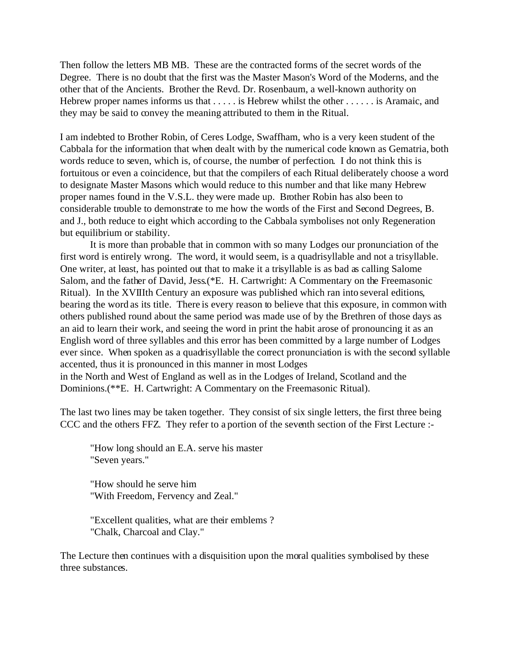Then follow the letters MB MB. These are the contracted forms of the secret words of the Degree. There is no doubt that the first was the Master Mason's Word of the Moderns, and the other that of the Ancients. Brother the Revd. Dr. Rosenbaum, a well-known authority on Hebrew proper names informs us that . . . . . is Hebrew whilst the other . . . . . . is Aramaic, and they may be said to convey the meaning attributed to them in the Ritual.

I am indebted to Brother Robin, of Ceres Lodge, Swaffham, who is a very keen student of the Cabbala for the information that when dealt with by the numerical code known as Gematria, both words reduce to seven, which is, of course, the number of perfection. I do not think this is fortuitous or even a coincidence, but that the compilers of each Ritual deliberately choose a word to designate Master Masons which would reduce to this number and that like many Hebrew proper names found in the V.S.L. they were made up. Brother Robin has also been to considerable trouble to demonstrate to me how the words of the First and Second Degrees, B. and J., both reduce to eight which according to the Cabbala symbolises not only Regeneration but equilibrium or stability.

It is more than probable that in common with so many Lodges our pronunciation of the first word is entirely wrong. The word, it would seem, is a quadrisyllable and not a trisyllable. One writer, at least, has pointed out that to make it a trisyllable is as bad as calling Salome Salom, and the father of David, Jess.(\*E. H. Cartwright: A Commentary on the Freemasonic Ritual). In the XVIIIth Century an exposure was published which ran into several editions, bearing the word as its title. There is every reason to believe that this exposure, in common with others published round about the same period was made use of by the Brethren of those days as an aid to learn their work, and seeing the word in print the habit arose of pronouncing it as an English word of three syllables and this error has been committed by a large number of Lodges ever since. When spoken as a quadrisyllable the correct pronunciation is with the second syllable accented, thus it is pronounced in this manner in most Lodges in the North and West of England as well as in the Lodges of Ireland, Scotland and the

Dominions.(\*\*E. H. Cartwright: A Commentary on the Freemasonic Ritual).

The last two lines may be taken together. They consist of six single letters, the first three being CCC and the others FFZ. They refer to a portion of the seventh section of the First Lecture :-

"How long should an E.A. serve his master "Seven years."

"How should he serve him "With Freedom, Fervency and Zeal."

"Excellent qualities, what are their emblems ? "Chalk, Charcoal and Clay."

The Lecture then continues with a disquisition upon the moral qualities symbolised by these three substances.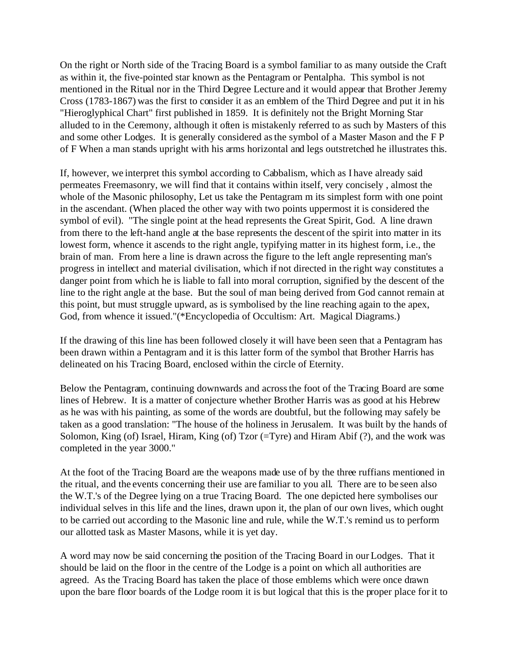On the right or North side of the Tracing Board is a symbol familiar to as many outside the Craft as within it, the five-pointed star known as the Pentagram or Pentalpha. This symbol is not mentioned in the Ritual nor in the Third Degree Lecture and it would appear that Brother Jeremy Cross (1783-1867) was the first to consider it as an emblem of the Third Degree and put it in his "Hieroglyphical Chart" first published in 1859. It is definitely not the Bright Morning Star alluded to in the Ceremony, although it often is mistakenly referred to as such by Masters of this and some other Lodges. It is generally considered as the symbol of a Master Mason and the F P of F When a man stands upright with his arms horizontal and legs outstretched he illustrates this.

If, however, we interpret this symbol according to Cabbalism, which as I have already said permeates Freemasonry, we will find that it contains within itself, very concisely , almost the whole of the Masonic philosophy, Let us take the Pentagram m its simplest form with one point in the ascendant. (When placed the other way with two points uppermost it is considered the symbol of evil). "The single point at the head represents the Great Spirit, God. A line drawn from there to the left-hand angle at the base represents the descent of the spirit into matter in its lowest form, whence it ascends to the right angle, typifying matter in its highest form, i.e., the brain of man. From here a line is drawn across the figure to the left angle representing man's progress in intellect and material civilisation, which if not directed in the right way constitutes a danger point from which he is liable to fall into moral corruption, signified by the descent of the line to the right angle at the base. But the soul of man being derived from God cannot remain at this point, but must struggle upward, as is symbolised by the line reaching again to the apex, God, from whence it issued."(\*Encyclopedia of Occultism: Art. Magical Diagrams.)

If the drawing of this line has been followed closely it will have been seen that a Pentagram has been drawn within a Pentagram and it is this latter form of the symbol that Brother Harris has delineated on his Tracing Board, enclosed within the circle of Eternity.

Below the Pentagram, continuing downwards and across the foot of the Tracing Board are some lines of Hebrew. It is a matter of conjecture whether Brother Harris was as good at his Hebrew as he was with his painting, as some of the words are doubtful, but the following may safely be taken as a good translation: "The house of the holiness in Jerusalem. It was built by the hands of Solomon, King (of) Israel, Hiram, King (of) Tzor  $(=Tyre)$  and Hiram Abif (?), and the work was completed in the year 3000."

At the foot of the Tracing Board are the weapons made use of by the three ruffians mentioned in the ritual, and the events concerning their use are familiar to you all. There are to be seen also the W.T.'s of the Degree lying on a true Tracing Board. The one depicted here symbolises our individual selves in this life and the lines, drawn upon it, the plan of our own lives, which ought to be carried out according to the Masonic line and rule, while the W.T.'s remind us to perform our allotted task as Master Masons, while it is yet day.

A word may now be said concerning the position of the Tracing Board in our Lodges. That it should be laid on the floor in the centre of the Lodge is a point on which all authorities are agreed. As the Tracing Board has taken the place of those emblems which were once drawn upon the bare floor boards of the Lodge room it is but logical that this is the proper place for it to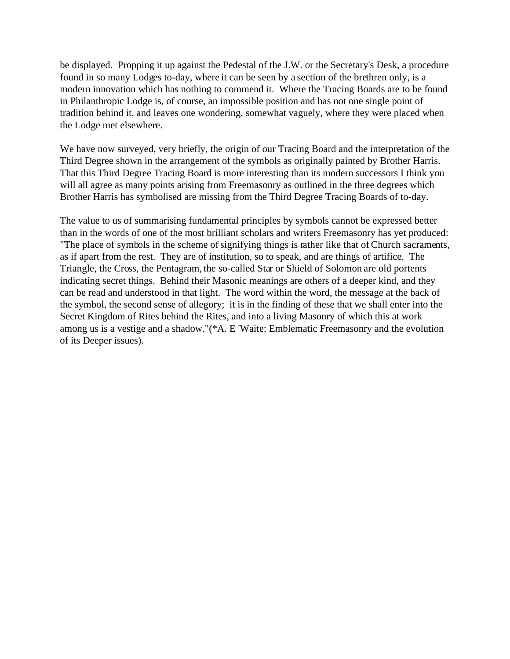be displayed. Propping it up against the Pedestal of the J.W. or the Secretary's Desk, a procedure found in so many Lodges to-day, where it can be seen by a section of the brethren only, is a modern innovation which has nothing to commend it. Where the Tracing Boards are to be found in Philanthropic Lodge is, of course, an impossible position and has not one single point of tradition behind it, and leaves one wondering, somewhat vaguely, where they were placed when the Lodge met elsewhere.

We have now surveyed, very briefly, the origin of our Tracing Board and the interpretation of the Third Degree shown in the arrangement of the symbols as originally painted by Brother Harris. That this Third Degree Tracing Board is more interesting than its modern successors I think you will all agree as many points arising from Freemasonry as outlined in the three degrees which Brother Harris has symbolised are missing from the Third Degree Tracing Boards of to-day.

The value to us of summarising fundamental principles by symbols cannot be expressed better than in the words of one of the most brilliant scholars and writers Freemasonry has yet produced: "The place of symbols in the scheme of signifying things is rather like that of Church sacraments, as if apart from the rest. They are of institution, so to speak, and are things of artifice. The Triangle, the Cross, the Pentagram, the so-called Star or Shield of Solomon are old portents indicating secret things. Behind their Masonic meanings are others of a deeper kind, and they can be read and understood in that light. The word within the word, the message at the back of the symbol, the second sense of allegory; it is in the finding of these that we shall enter into the Secret Kingdom of Rites behind the Rites, and into a living Masonry of which this at work among us is a vestige and a shadow."(\*A. E 'Waite: Emblematic Freemasonry and the evolution of its Deeper issues).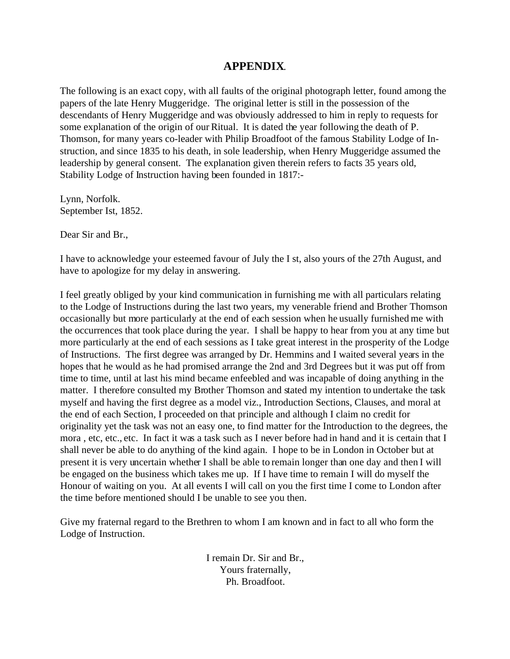## **APPENDIX**.

The following is an exact copy, with all faults of the original photograph letter, found among the papers of the late Henry Muggeridge. The original letter is still in the possession of the descendants of Henry Muggeridge and was obviously addressed to him in reply to requests for some explanation of the origin of our Ritual. It is dated the year following the death of P. Thomson, for many years co-leader with Philip Broadfoot of the famous Stability Lodge of Instruction, and since 1835 to his death, in sole leadership, when Henry Muggeridge assumed the leadership by general consent. The explanation given therein refers to facts 35 years old, Stability Lodge of Instruction having been founded in 1817:-

Lynn, Norfolk. September Ist, 1852.

Dear Sir and Br.,

I have to acknowledge your esteemed favour of July the I st, also yours of the 27th August, and have to apologize for my delay in answering.

I feel greatly obliged by your kind communication in furnishing me with all particulars relating to the Lodge of Instructions during the last two years, my venerable friend and Brother Thomson occasionally but more particularly at the end of each session when he usually furnished me with the occurrences that took place during the year. I shall be happy to hear from you at any time but more particularly at the end of each sessions as I take great interest in the prosperity of the Lodge of Instructions. The first degree was arranged by Dr. Hemmins and I waited several years in the hopes that he would as he had promised arrange the 2nd and 3rd Degrees but it was put off from time to time, until at last his mind became enfeebled and was incapable of doing anything in the matter. I therefore consulted my Brother Thomson and stated my intention to undertake the task myself and having the first degree as a model viz., Introduction Sections, Clauses, and moral at the end of each Section, I proceeded on that principle and although I claim no credit for originality yet the task was not an easy one, to find matter for the Introduction to the degrees, the mora , etc, etc., etc. In fact it was a task such as I never before had in hand and it is certain that I shall never be able to do anything of the kind again. I hope to be in London in October but at present it is very uncertain whether I shall be able to remain longer than one day and then I will be engaged on the business which takes me up. If I have time to remain I will do myself the Honour of waiting on you. At all events I will call on you the first time I come to London after the time before mentioned should I be unable to see you then.

Give my fraternal regard to the Brethren to whom I am known and in fact to all who form the Lodge of Instruction.

> I remain Dr. Sir and Br., Yours fraternally, Ph. Broadfoot.